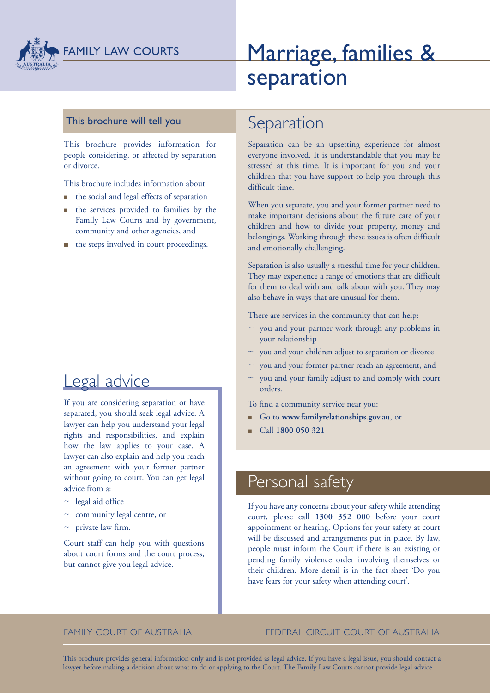

# Marriage, families & separation

### This brochure will tell you

This brochure provides information for people considering, or affected by separation or divorce.

This brochure includes information about:

- $\blacksquare$  the social and legal effects of separation
- <sup>n</sup> the services provided to families by the Family Law Courts and by government, community and other agencies, and
- $\blacksquare$  the steps involved in court proceedings.

## Legal advice

If you are considering separation or have separated, you should seek legal advice. A lawyer can help you understand your legal rights and responsibilities, and explain how the law applies to your case. A lawyer can also explain and help you reach an agreement with your former partner without going to court. You can get legal advice from a:

- $\sim$  legal aid office
- $\sim$  community legal centre, or
- $\sim$  private law firm.

Court staff can help you with questions about court forms and the court process, but cannot give you legal advice.

## Separation

Separation can be an upsetting experience for almost everyone involved. It is understandable that you may be stressed at this time. It is important for you and your children that you have support to help you through this difficult time.

When you separate, you and your former partner need to make important decisions about the future care of your children and how to divide your property, money and belongings. Working through these issues is often difficult and emotionally challenging.

Separation is also usually a stressful time for your children. They may experience a range of emotions that are difficult for them to deal with and talk about with you. They may also behave in ways that are unusual for them.

There are services in the community that can help:

- $\sim$  you and your partner work through any problems in your relationship
- $\sim$  you and your children adjust to separation or divorce
- you and your former partner reach an agreement, and
- you and your family adjust to and comply with court orders.

To find a community service near you:

- <sup>n</sup> Go to **www.familyrelationships.gov.au**, or
- <sup>n</sup> Call **1800 050 321**

## Personal safety

If you have any concerns about your safety while attending court, please call **1300 352 000** before your court appointment or hearing. Options for your safety at court will be discussed and arrangements put in place. By law, people must inform the Court if there is an existing or pending family violence order involving themselves or their children. More detail is in the fact sheet 'Do you have fears for your safety when attending court'.

#### FAMILY COURT OF AUSTRALIA FEDERAL CIRCUIT COURT OF AUSTRALIA

This brochure provides general information only and is not provided as legal advice. If you have a legal issue, you should contact a lawyer before making a decision about what to do or applying to the Court. The Family Law Courts cannot provide legal advice.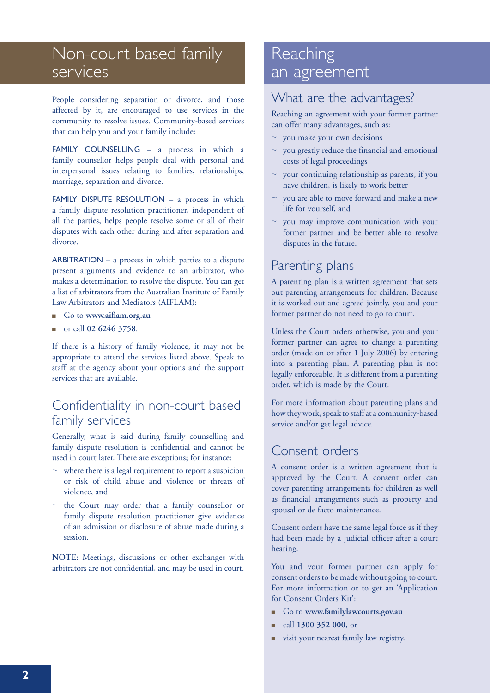# Non-court based family services

People considering separation or divorce, and those affected by it, are encouraged to use services in the community to resolve issues. Community-based services that can help you and your family include:

FAMILY COUNSELLING - a process in which a family counsellor helps people deal with personal and interpersonal issues relating to families, relationships, marriage, separation and divorce.

FAMILY DISPUTE RESOLUTION - a process in which a family dispute resolution practitioner, independent of all the parties, helps people resolve some or all of their disputes with each other during and after separation and divorce.

ARBITRATION – a process in which parties to a dispute present arguments and evidence to an arbitrator, who makes a determination to resolve the dispute. You can get a list of arbitrators from the Australian Institute of Family Law Arbitrators and Mediators (AIFLAM):

- <sup>n</sup> Go to **www.aiflam.org.au**
- <sup>n</sup> or call **02 6246 3758**.

If there is a history of family violence, it may not be appropriate to attend the services listed above. Speak to staff at the agency about your options and the support services that are available.

## Confidentiality in non-court based family services

Generally, what is said during family counselling and family dispute resolution is confidential and cannot be used in court later. There are exceptions; for instance:

- $\sim$  where there is a legal requirement to report a suspicion or risk of child abuse and violence or threats of violence, and
- $\sim$  the Court may order that a family counsellor or family dispute resolution practitioner give evidence of an admission or disclosure of abuse made during a session.

**NOTE**: Meetings, discussions or other exchanges with arbitrators are not confidential, and may be used in court.

## **Reaching** an agreement

## What are the advantages?

Reaching an agreement with your former partner can offer many advantages, such as:

- ~ you make your own decisions
- ~ you greatly reduce the financial and emotional costs of legal proceedings
- your continuing relationship as parents, if you have children, is likely to work better
- $\sim$  you are able to move forward and make a new life for yourself, and
- you may improve communication with your former partner and be better able to resolve disputes in the future.

## Parenting plans

A parenting plan is a written agreement that sets out parenting arrangements for children. Because it is worked out and agreed jointly, you and your former partner do not need to go to court.

Unless the Court orders otherwise, you and your former partner can agree to change a parenting order (made on or after 1 July 2006) by entering into a parenting plan. A parenting plan is not legally enforceable. It is different from a parenting order, which is made by the Court.

For more information about parenting plans and how they work, speak to staff at a community-based service and/or get legal advice.

## Consent orders

A consent order is a written agreement that is approved by the Court. A consent order can cover parenting arrangements for children as well as financial arrangements such as property and spousal or de facto maintenance.

Consent orders have the same legal force as if they had been made by a judicial officer after a court hearing.

You and your former partner can apply for consent orders to be made without going to court. For more information or to get an 'Application for Consent Orders Kit':

- <sup>n</sup> Go to **www.familylawcourts.gov.au**
- <sup>n</sup> call **1300 352 000,** or
- visit your nearest family law registry.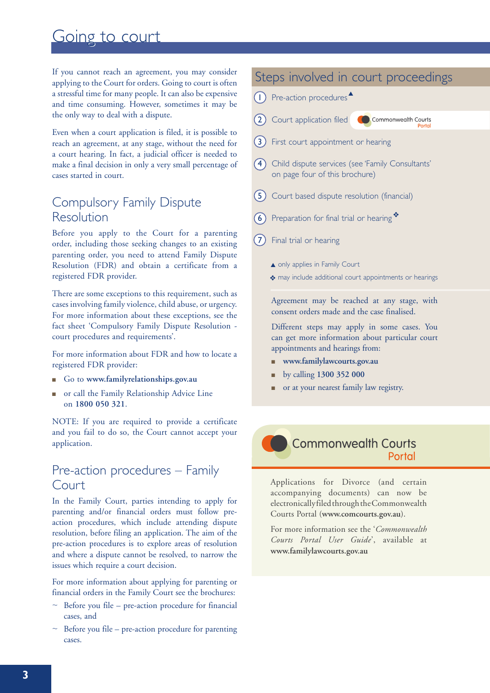## Going to court

If you cannot reach an agreement, you may consider applying to the Court for orders. Going to court is often a stressful time for many people. It can also be expensive and time consuming. However, sometimes it may be the only way to deal with a dispute.

Even when a court application is filed, it is possible to reach an agreement, at any stage, without the need for a court hearing. In fact, a judicial officer is needed to make a final decision in only a very small percentage of cases started in court.

## Compulsory Family Dispute Resolution

Before you apply to the Court for a parenting order, including those seeking changes to an existing parenting order, you need to attend Family Dispute Resolution (FDR) and obtain a certificate from a registered FDR provider.

There are some exceptions to this requirement, such as cases involving family violence, child abuse, or urgency. For more information about these exceptions, see the fact sheet 'Compulsory Family Dispute Resolution court procedures and requirements'.

For more information about FDR and how to locate a registered FDR provider:

- <sup>n</sup> Go to **www.familyrelationships.gov.au**
- n or call the Family Relationship Advice Line on **1800 050 321**.

NOTE: If you are required to provide a certificate and you fail to do so, the Court cannot accept your application.

### Pre-action procedures – Family Court

In the Family Court, parties intending to apply for parenting and/or financial orders must follow preaction procedures, which include attending dispute resolution, before filing an application. The aim of the pre-action procedures is to explore areas of resolution and where a dispute cannot be resolved, to narrow the issues which require a court decision.

For more information about applying for parenting or financial orders in the Family Court see the brochures:

- $\sim$  Before you file pre-action procedure for financial cases, and
- Before you file pre-action procedure for parenting cases.

### Steps involved in court proceedings

 $\bigcap$  Pre-action procedures

- **2** Court application filed **Commonwealth Courts**
- (3) First court appointment or hearing
- 4 Child dispute services (see 'Family Consultants' on page four of this brochure)
- (5) Court based dispute resolution (financial)
- 6 Preparation for final trial or hearing
- 7 Final trial or hearing
	- ▲ only applies in Family Court
	- \* may include additional court appointments or hearings

Agreement may be reached at any stage, with consent orders made and the case finalised.

Different steps may apply in some cases. You can get more information about particular court appointments and hearings from:

- <sup>n</sup> **www.familylawcourts.gov.au**
- <sup>n</sup> by calling **1300 352 000**
- or at your nearest family law registry.



Applications for Divorce (and certain accompanying documents) can now be electronically filed through the Commonwealth Courts Portal (**www.comcourts.gov.au**).

For more information see the '*Commonwealth Courts Portal User Guide*', available at **www.familylawcourts.gov.au**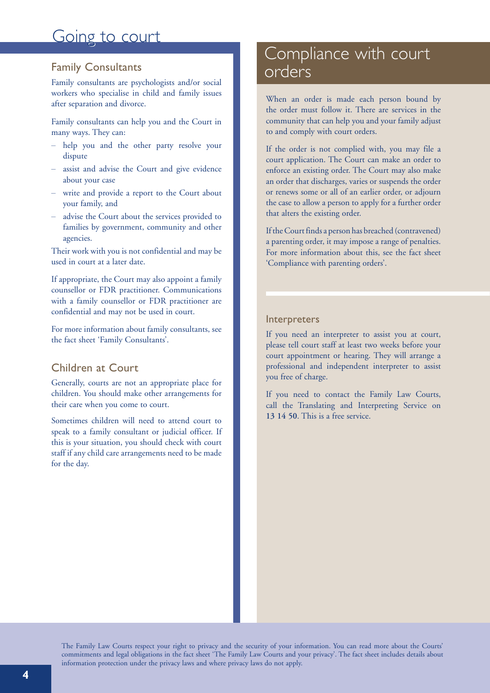## Going to court

### Family Consultants

Family consultants are psychologists and/or social workers who specialise in child and family issues after separation and divorce.

Family consultants can help you and the Court in many ways. They can:

- help you and the other party resolve your dispute
- assist and advise the Court and give evidence about your case
- write and provide a report to the Court about your family, and
- advise the Court about the services provided to families by government, community and other agencies.

Their work with you is not confidential and may be used in court at a later date.

If appropriate, the Court may also appoint a family counsellor or FDR practitioner. Communications with a family counsellor or FDR practitioner are confidential and may not be used in court.

For more information about family consultants, see the fact sheet 'Family Consultants'.

### Children at Court

Generally, courts are not an appropriate place for children. You should make other arrangements for their care when you come to court.

Sometimes children will need to attend court to speak to a family consultant or judicial officer. If this is your situation, you should check with court staff if any child care arrangements need to be made for the day.

## Compliance with court orders

When an order is made each person bound by the order must follow it. There are services in the community that can help you and your family adjust to and comply with court orders.

If the order is not complied with, you may file a court application. The Court can make an order to enforce an existing order. The Court may also make an order that discharges, varies or suspends the order or renews some or all of an earlier order, or adjourn the case to allow a person to apply for a further order that alters the existing order.

If the Court finds a person has breached (contravened) a parenting order, it may impose a range of penalties. For more information about this, see the fact sheet 'Compliance with parenting orders'.

#### Interpreters

If you need an interpreter to assist you at court, please tell court staff at least two weeks before your court appointment or hearing. They will arrange a professional and independent interpreter to assist you free of charge.

If you need to contact the Family Law Courts, call the Translating and Interpreting Service on **13 14 50**. This is a free service.

The Family Law Courts respect your right to privacy and the security of your information. You can read more about the Courts' commitments and legal obligations in the fact sheet 'The Family Law Courts and your privacy'. The fact sheet includes details about information protection under the privacy laws and where privacy laws do not apply.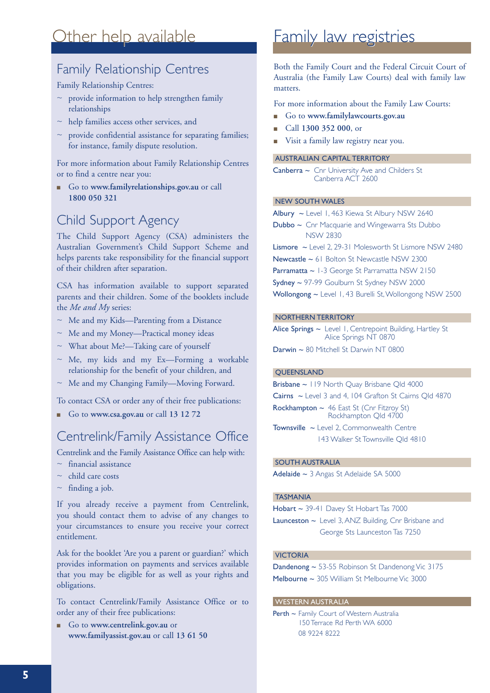## Other help available

## Family Relationship Centres

#### Family Relationship Centres:

- $\sim$  provide information to help strengthen family relationships
- $\sim$  help families access other services, and
- $\sim$  provide confidential assistance for separating families; for instance, family dispute resolution.

For more information about Family Relationship Centres or to find a centre near you:

<sup>n</sup> Go to **www.familyrelationships.gov.au** or call **1800 050 321**

## Child Support Agency

The Child Support Agency (CSA) administers the Australian Government's Child Support Scheme and helps parents take responsibility for the financial support of their children after separation.

CSA has information available to support separated parents and their children. Some of the booklets include the *Me and My* series:

- ~ Me and my Kids—Parenting from a Distance
- ~ Me and my Money—Practical money ideas
- ~ What about Me?—Taking care of yourself
- $\sim$  Me, my kids and my Ex-Forming a workable relationship for the benefit of your children, and
- ~ Me and my Changing Family—Moving Forward.

To contact CSA or order any of their free publications:

<sup>n</sup> Go to **www.csa.gov.au** or call **13 12 72**

### Centrelink/Family Assistance Office

Centrelink and the Family Assistance Office can help with:

- $~\sim~$ financial assistance
- $\sim$  child care costs
- $\sim$  finding a job.

If you already receive a payment from Centrelink, you should contact them to advise of any changes to your circumstances to ensure you receive your correct entitlement.

Ask for the booklet 'Are you a parent or guardian?' which provides information on payments and services available that you may be eligible for as well as your rights and obligations.

To contact Centrelink/Family Assistance Office or to order any of their free publications:

<sup>n</sup> Go to **www.centrelink.gov.au** or **www.familyassist.gov.au** or call **13 61 50** 

## Family law registries

Both the Family Court and the Federal Circuit Court of Australia (the Family Law Courts) deal with family law matters.

For more information about the Family Law Courts:

- <sup>n</sup> Go to **www.familylawcourts.gov.au**
- <sup>n</sup> Call **1300 352 000**, or
- Visit a family law registry near you.

#### AUSTRALIAN CAPITAL TERRITORY

 $\mathsf{Can}\mathsf{berra} \sim \mathsf{Chr}$  University Ave and Childers St Canberra ACT 2600

#### NEW SOUTH WALES

Albury ~ Level 1, 463 Kiewa St Albury NSW 2640

Dubbo ~ Cnr Macquarie and Wingewarra Sts Dubbo NSW 2830

Lismore ~ Level 2, 29-31 Molesworth St Lismore NSW 2480

Newcastle ~ 61 Bolton St Newcastle NSW 2300

Parramatta ~ 1-3 George St Parramatta NSW 2150

Sydney ~ 97-99 Goulburn St Sydney NSW 2000

Wollongong ~ Level 1, 43 Burelli St, Wollongong NSW 2500

#### NORTHERN TERRITORY

Alice Springs ~ Level 1, Centrepoint Building, Hartley St Alice Springs NT 0870

Darwin ~ 80 Mitchell St Darwin NT 0800

#### QUEENSLAND

Brisbane ~ 119 North Quay Brisbane Qld 4000 Cairns ~ Level 3 and 4, 104 Grafton St Cairns Qld 4870 Rockhampton ~ 46 East St (Cnr Fitzroy St) Rockhampton Qld 4700

Townsville ~ Level 2, Commonwealth Centre 143 Walker St Townsville Qld 4810

#### SOUTH AUSTRALIA

Adelaide ~ 3 Angas St Adelaide SA 5000

#### TASMANIA

Hobart ~ 39-41 Davey St Hobart Tas 7000

Launceston ~ Level 3, ANZ Building, Cnr Brisbane and George Sts Launceston Tas 7250

#### VICTORIA

Dandenong ~ 53-55 Robinson St Dandenong Vic 3175 Melbourne ~ 305 William St Melbourne Vic 3000

#### WESTERN AUSTRALIA

Perth ~ Family Court of Western Australia 150 Terrace Rd Perth WA 6000 08 9224 8222